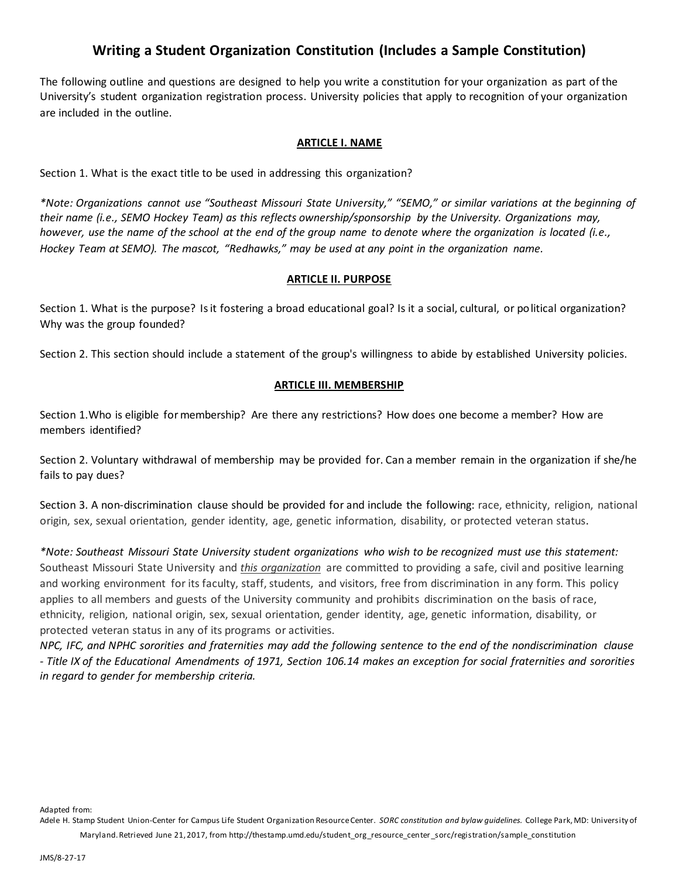# **Writing a Student Organization Constitution (Includes a Sample Constitution)**

The following outline and questions are designed to help you write a constitution for your organization as part of the University's student organization registration process. University policies that apply to recognition of your organization are included in the outline.

### **ARTICLE I. NAME**

Section 1. What is the exact title to be used in addressing this organization?

*\*Note: Organizations cannot use "Southeast Missouri State University," "SEMO," or similar variations at the beginning of their name (i.e., SEMO Hockey Team) as this reflects ownership/sponsorship by the University. Organizations may, however, use the name of the school at the end of the group name to denote where the organization is located (i.e., Hockey Team at SEMO). The mascot, "Redhawks," may be used at any point in the organization name.* 

#### **ARTICLE II. PURPOSE**

Section 1. What is the purpose? Is it fostering a broad educational goal? Is it a social, cultural, or political organization? Why was the group founded?

Section 2. This section should include a statement of the group's willingness to abide by established University policies.

### **ARTICLE III. MEMBERSHIP**

Section 1.Who is eligible for membership? Are there any restrictions? How does one become a member? How are members identified?

Section 2. Voluntary withdrawal of membership may be provided for. Can a member remain in the organization if she/he fails to pay dues?

Section 3. A non-discrimination clause should be provided for and include the following: race, ethnicity, religion, national origin, sex, sexual orientation, gender identity, age, genetic information, disability, or protected veteran status.

*\*Note: Southeast Missouri State University student organizations who wish to be recognized must use this statement:*  Southeast Missouri State University and *this organization* are committed to providing a safe, civil and positive learning and working environment for its faculty, staff, students, and visitors, free from discrimination in any form. This policy applies to all members and guests of the University community and prohibits discrimination on the basis of race, ethnicity, religion, national origin, sex, sexual orientation, gender identity, age, genetic information, disability, or protected veteran status in any of its programs or activities.

*NPC, IFC, and NPHC sororities and fraternities may add the following sentence to the end of the nondiscrimination clause - Title IX of the Educational Amendments of 1971, Section 106.14 makes an exception for social fraternities and sororities in regard to gender for membership criteria.*

Adapted from: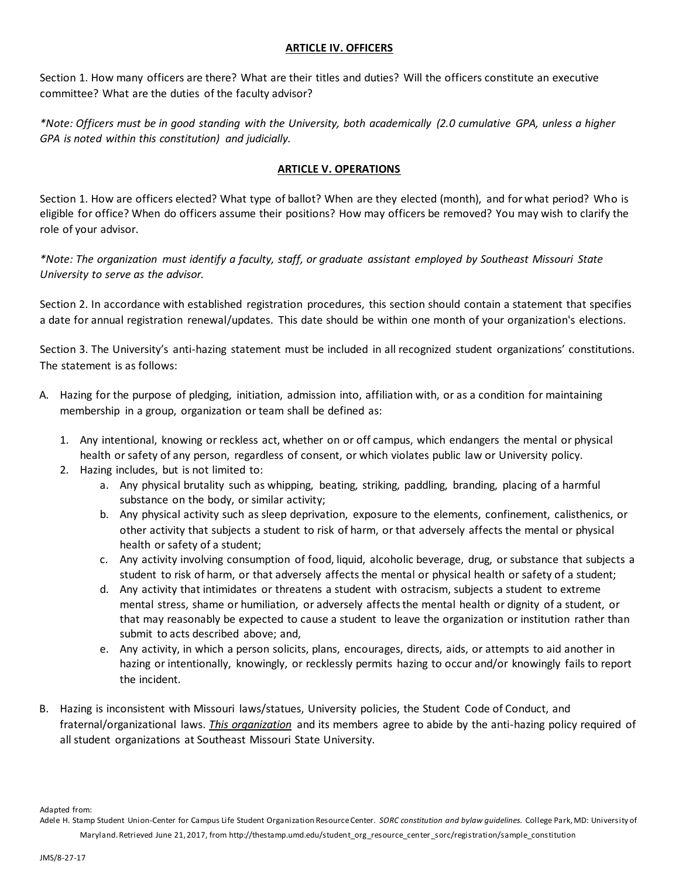### **ARTICLE IV. OFFICERS**

Section 1. How many officers are there? What are their titles and duties? Will the officers constitute an executive committee? What are the duties of the faculty advisor?

*\*Note: Officers must be in good standing with the University, both academically (2.0 cumulative GPA, unless a higher GPA is noted within this constitution) and judicially.*

# **ARTICLE V. OPERATIONS**

Section 1. How are officers elected? What type of ballot? When are they elected (month), and for what period? Who is eligible for office? When do officers assume their positions? How may officers be removed? You may wish to clarify the role of your advisor.

*\*Note: The organization must identify a faculty, staff, or graduate assistant employed by Southeast Missouri State University to serve as the advisor.*

Section 2. In accordance with established registration procedures, this section should contain a statement that specifies a date for annual registration renewal/updates. This date should be within one month of your organization's elections.

Section 3. The University's anti-hazing statement must be included in all recognized student organizations' constitutions. The statement is as follows:

- A. Hazing for the purpose of pledging, initiation, admission into, affiliation with, or as a condition for maintaining membership in a group, organization or team shall be defined as:
	- 1. Any intentional, knowing or reckless act, whether on or off campus, which endangers the mental or physical health or safety of any person, regardless of consent, or which violates public law or University policy.
	- 2. Hazing includes, but is not limited to:
		- a. Any physical brutality such as whipping, beating, striking, paddling, branding, placing of a harmful substance on the body, or similar activity;
		- b. Any physical activity such as sleep deprivation, exposure to the elements, confinement, calisthenics, or other activity that subjects a student to risk of harm, or that adversely affects the mental or physical health or safety of a student;
		- c. Any activity involving consumption of food, liquid, alcoholic beverage, drug, or substance that subjects a student to risk of harm, or that adversely affects the mental or physical health or safety of a student;
		- d. Any activity that intimidates or threatens a student with ostracism, subjects a student to extreme mental stress, shame or humiliation, or adversely affects the mental health or dignity of a student, or that may reasonably be expected to cause a student to leave the organization or institution rather than submit to acts described above; and,
		- e. Any activity, in which a person solicits, plans, encourages, directs, aids, or attempts to aid another in hazing or intentionally, knowingly, or recklessly permits hazing to occur and/or knowingly fails to report the incident.
- B. Hazing is inconsistent with Missouri laws/statues, University policies, the Student Code of Conduct, and fraternal/organizational laws. *This organization* and its members agree to abide by the anti-hazing policy required of all student organizations at Southeast Missouri State University.

Adapted from: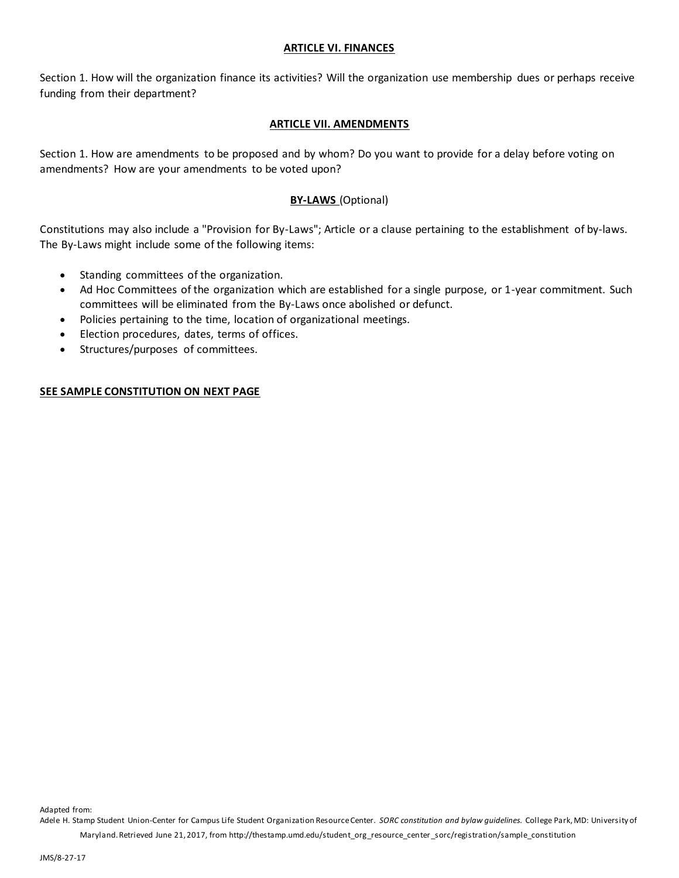#### **ARTICLE VI. FINANCES**

Section 1. How will the organization finance its activities? Will the organization use membership dues or perhaps receive funding from their department?

# **ARTICLE VII. AMENDMENTS**

Section 1. How are amendments to be proposed and by whom? Do you want to provide for a delay before voting on amendments? How are your amendments to be voted upon?

# **BY-LAWS** (Optional)

Constitutions may also include a "Provision for By-Laws"; Article or a clause pertaining to the establishment of by-laws. The By-Laws might include some of the following items:

- Standing committees of the organization.
- Ad Hoc Committees of the organization which are established for a single purpose, or 1-year commitment. Such committees will be eliminated from the By-Laws once abolished or defunct.
- Policies pertaining to the time, location of organizational meetings.
- Election procedures, dates, terms of offices.
- Structures/purposes of committees.

# **SEE SAMPLE CONSTITUTION ON NEXT PAGE**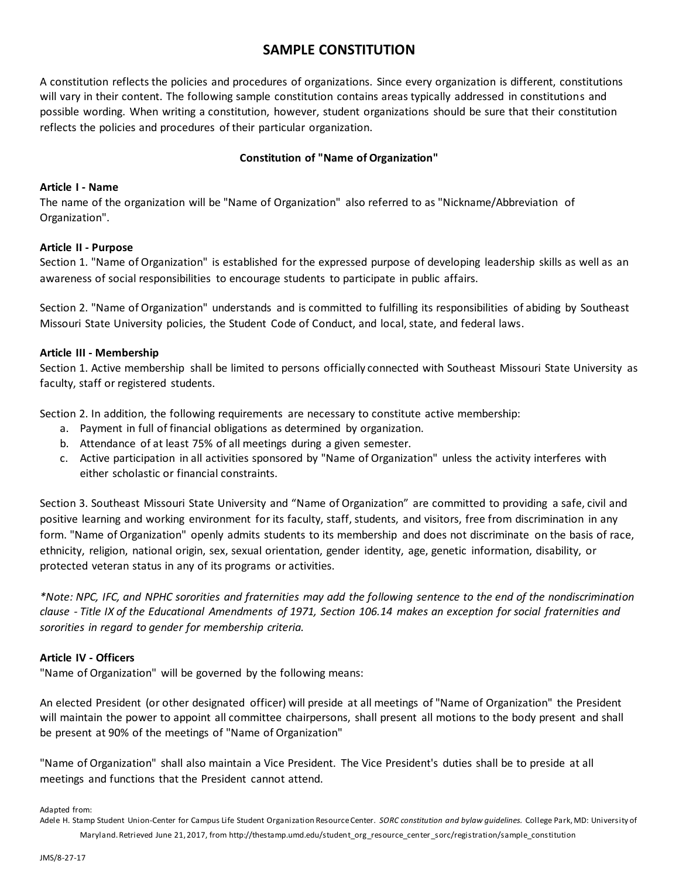# **SAMPLE CONSTITUTION**

A constitution reflects the policies and procedures of organizations. Since every organization is different, constitutions will vary in their content. The following sample constitution contains areas typically addressed in constitutions and possible wording. When writing a constitution, however, student organizations should be sure that their constitution reflects the policies and procedures of their particular organization.

# **Constitution of "Name of Organization"**

### **Article I - Name**

The name of the organization will be "Name of Organization" also referred to as "Nickname/Abbreviation of Organization".

### **Article II - Purpose**

Section 1. "Name of Organization" is established for the expressed purpose of developing leadership skills as well as an awareness of social responsibilities to encourage students to participate in public affairs.

Section 2. "Name of Organization" understands and is committed to fulfilling its responsibilities of abiding by Southeast Missouri State University policies, the Student Code of Conduct, and local, state, and federal laws.

### **Article III - Membership**

Section 1. Active membership shall be limited to persons officially connected with Southeast Missouri State University as faculty, staff or registered students.

Section 2. In addition, the following requirements are necessary to constitute active membership:

- a. Payment in full of financial obligations as determined by organization.
- b. Attendance of at least 75% of all meetings during a given semester.
- c. Active participation in all activities sponsored by "Name of Organization" unless the activity interferes with either scholastic or financial constraints.

Section 3. Southeast Missouri State University and "Name of Organization" are committed to providing a safe, civil and positive learning and working environment for its faculty, staff, students, and visitors, free from discrimination in any form. "Name of Organization" openly admits students to its membership and does not discriminate on the basis of race, ethnicity, religion, national origin, sex, sexual orientation, gender identity, age, genetic information, disability, or protected veteran status in any of its programs or activities.

*\*Note: NPC, IFC, and NPHC sororities and fraternities may add the following sentence to the end of the nondiscrimination clause - Title IX of the Educational Amendments of 1971, Section 106.14 makes an exception for social fraternities and sororities in regard to gender for membership criteria.*

# **Article IV - Officers**

"Name of Organization" will be governed by the following means:

An elected President (or other designated officer) will preside at all meetings of "Name of Organization" the President will maintain the power to appoint all committee chairpersons, shall present all motions to the body present and shall be present at 90% of the meetings of "Name of Organization"

"Name of Organization" shall also maintain a Vice President. The Vice President's duties shall be to preside at all meetings and functions that the President cannot attend.

Adapted from: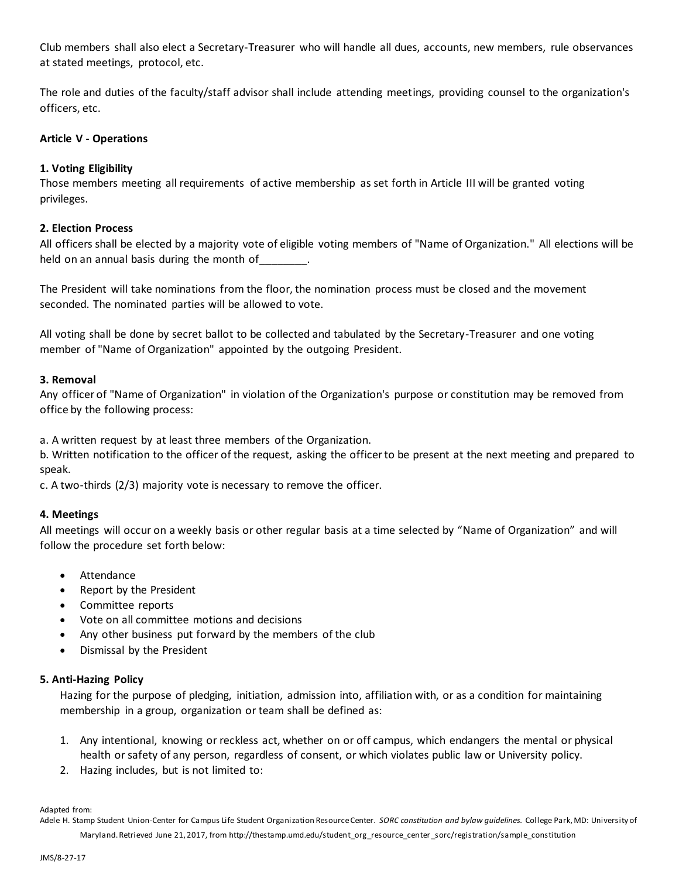Club members shall also elect a Secretary-Treasurer who will handle all dues, accounts, new members, rule observances at stated meetings, protocol, etc.

The role and duties of the faculty/staff advisor shall include attending meetings, providing counsel to the organization's officers, etc.

### **Article V - Operations**

# **1. Voting Eligibility**

Those members meeting all requirements of active membership as set forth in Article III will be granted voting privileges.

### **2. Election Process**

All officers shall be elected by a majority vote of eligible voting members of "Name of Organization." All elections will be held on an annual basis during the month of \_\_\_\_\_\_\_\_.

The President will take nominations from the floor, the nomination process must be closed and the movement seconded. The nominated parties will be allowed to vote.

All voting shall be done by secret ballot to be collected and tabulated by the Secretary-Treasurer and one voting member of "Name of Organization" appointed by the outgoing President.

#### **3. Removal**

Any officer of "Name of Organization" in violation of the Organization's purpose or constitution may be removed from office by the following process:

a. A written request by at least three members of the Organization.

b. Written notification to the officer of the request, asking the officer to be present at the next meeting and prepared to speak.

c. A two-thirds (2/3) majority vote is necessary to remove the officer.

#### **4. Meetings**

All meetings will occur on a weekly basis or other regular basis at a time selected by "Name of Organization" and will follow the procedure set forth below:

- Attendance
- Report by the President
- Committee reports
- Vote on all committee motions and decisions
- Any other business put forward by the members of the club
- Dismissal by the President

#### **5. Anti-Hazing Policy**

Hazing for the purpose of pledging, initiation, admission into, affiliation with, or as a condition for maintaining membership in a group, organization or team shall be defined as:

- 1. Any intentional, knowing or reckless act, whether on or off campus, which endangers the mental or physical health or safety of any person, regardless of consent, or which violates public law or University policy.
- 2. Hazing includes, but is not limited to:

Adapted from: